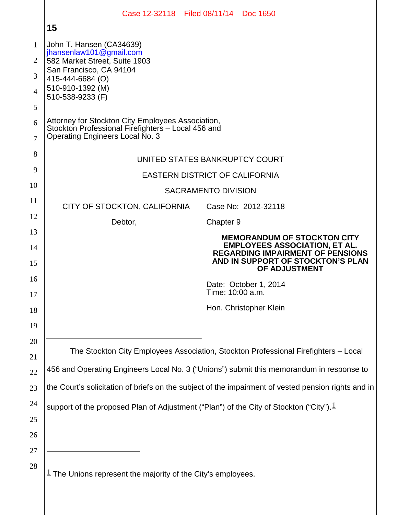|          | Case 12-32118 Filed 08/11/14 Doc 1650                                                                                                      |                  |                                                                                                                                       |
|----------|--------------------------------------------------------------------------------------------------------------------------------------------|------------------|---------------------------------------------------------------------------------------------------------------------------------------|
|          | 15                                                                                                                                         |                  |                                                                                                                                       |
| 1        | John T. Hansen (CA34639)<br>jhansenlaw101@gmail.com                                                                                        |                  |                                                                                                                                       |
| 2        | 582 Market Street, Suite 1903                                                                                                              |                  |                                                                                                                                       |
| 3        | San Francisco, CA 94104<br>415-444-6684 (O)                                                                                                |                  |                                                                                                                                       |
| 4        | 510-910-1392 (M)<br>510-538-9233 (F)                                                                                                       |                  |                                                                                                                                       |
| 5        |                                                                                                                                            |                  |                                                                                                                                       |
| 6<br>7   | Attorney for Stockton City Employees Association,<br>Stockton Professional Firefighters - Local 456 and<br>Operating Engineers Local No. 3 |                  |                                                                                                                                       |
| 8        | UNITED STATES BANKRUPTCY COURT                                                                                                             |                  |                                                                                                                                       |
| 9        | <b>EASTERN DISTRICT OF CALIFORNIA</b>                                                                                                      |                  |                                                                                                                                       |
| 10       | <b>SACRAMENTO DIVISION</b>                                                                                                                 |                  |                                                                                                                                       |
| 11       | CITY OF STOCKTON, CALIFORNIA                                                                                                               |                  | Case No: 2012-32118                                                                                                                   |
| 12       | Debtor,                                                                                                                                    | Chapter 9        |                                                                                                                                       |
| 13       |                                                                                                                                            |                  | <b>MEMORANDUM OF STOCKTON CITY</b>                                                                                                    |
| 14<br>15 |                                                                                                                                            |                  | <b>EMPLOYEES ASSOCIATION, ET AL.</b><br><b>REGARDING IMPAIRMENT OF PENSIONS</b><br>AND IN SUPPORT OF STOCKTON'S PLAN<br>OF ADJUSTMENT |
| 16       |                                                                                                                                            |                  | Date: October 1, 2014                                                                                                                 |
| 17       |                                                                                                                                            | Time: 10:00 a.m. |                                                                                                                                       |
| 18       |                                                                                                                                            |                  | Hon. Christopher Klein                                                                                                                |
| 19       |                                                                                                                                            |                  |                                                                                                                                       |
| 20       | The Stockton City Employees Association, Stockton Professional Firefighters - Local                                                        |                  |                                                                                                                                       |
| 21<br>22 | 456 and Operating Engineers Local No. 3 ("Unions") submit this memorandum in response to                                                   |                  |                                                                                                                                       |
| 23       | the Court's solicitation of briefs on the subject of the impairment of vested pension rights and in                                        |                  |                                                                                                                                       |
| 24       | support of the proposed Plan of Adjustment ("Plan") of the City of Stockton ("City"). $\frac{1}{2}$                                        |                  |                                                                                                                                       |
| 25       |                                                                                                                                            |                  |                                                                                                                                       |
| 26       |                                                                                                                                            |                  |                                                                                                                                       |
| 27       |                                                                                                                                            |                  |                                                                                                                                       |
| 28       | $1$ The Unions represent the majority of the City's employees.                                                                             |                  |                                                                                                                                       |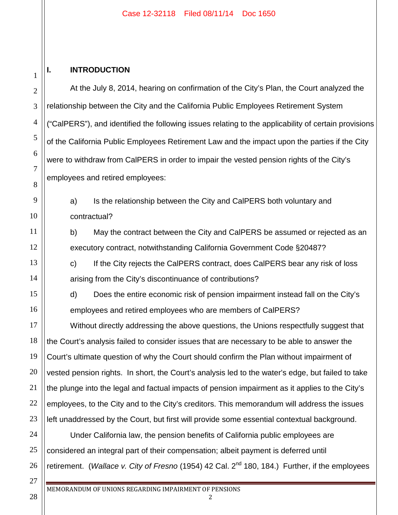#### Case 12-32118 Filed 08/11/14 Doc 1650

### 1

2

3

4

5

6

7

8

9

10

11

12

13

14

15

16

17

18

19

20

21

22

23

27

28

#### **I. INTRODUCTION**

At the July 8, 2014, hearing on confirmation of the City's Plan, the Court analyzed the relationship between the City and the California Public Employees Retirement System ("CalPERS"), and identified the following issues relating to the applicability of certain provisions of the California Public Employees Retirement Law and the impact upon the parties if the City were to withdraw from CalPERS in order to impair the vested pension rights of the City's employees and retired employees:

a) Is the relationship between the City and CalPERS both voluntary and contractual?

b) May the contract between the City and CalPERS be assumed or rejected as an executory contract, notwithstanding California Government Code §20487?

c) If the City rejects the CalPERS contract, does CalPERS bear any risk of loss arising from the City's discontinuance of contributions?

d) Does the entire economic risk of pension impairment instead fall on the City's employees and retired employees who are members of CalPERS?

Without directly addressing the above questions, the Unions respectfully suggest that the Court's analysis failed to consider issues that are necessary to be able to answer the Court's ultimate question of why the Court should confirm the Plan without impairment of vested pension rights. In short, the Court's analysis led to the water's edge, but failed to take the plunge into the legal and factual impacts of pension impairment as it applies to the City's employees, to the City and to the City's creditors. This memorandum will address the issues left unaddressed by the Court, but first will provide some essential contextual background.

24 25 26 Under California law, the pension benefits of California public employees are considered an integral part of their compensation; albeit payment is deferred until retirement. (*Wallace v. City of Fresno* (1954) 42 Cal. 2<sup>nd</sup> 180, 184.) Further, if the employees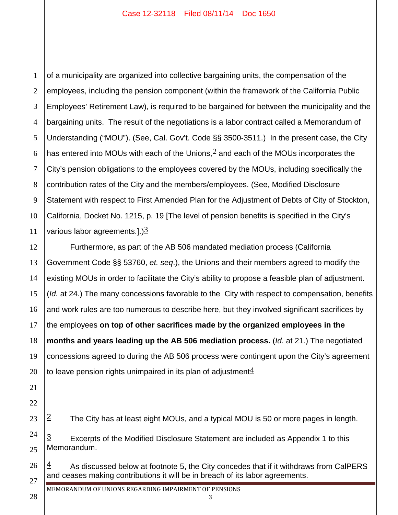1 2 3 4 5 6 7 8 9 10 11 of a municipality are organized into collective bargaining units, the compensation of the employees, including the pension component (within the framework of the California Public Employees' Retirement Law), is required to be bargained for between the municipality and the bargaining units. The result of the negotiations is a labor contract called a Memorandum of Understanding ("MOU"). (See, Cal. Gov't. Code §§ 3500-3511.) In the present case, the City has entered into MOUs with each of the Unions,  $2$  and each of the MOUs incorporates the City's pension obligations to the employees covered by the MOUs, including specifically the contribution rates of the City and the members/employees. (See, Modified Disclosure Statement with respect to First Amended Plan for the Adjustment of Debts of City of Stockton, California, Docket No. 1215, p. 19 [The level of pension benefits is specified in the City's various labor agreements.].) $\frac{3}{2}$ 

12 13 14 15 16 17 18 19 20 Furthermore, as part of the AB 506 mandated mediation process (California Government Code §§ 53760, *et. seq*.), the Unions and their members agreed to modify the existing MOUs in order to facilitate the City's ability to propose a feasible plan of adjustment. (*Id.* at 24.) The many concessions favorable to the City with respect to compensation, benefits and work rules are too numerous to describe here, but they involved significant sacrifices by the employees **on top of other sacrifices made by the organized employees in the months and years leading up the AB 506 mediation process.** (*Id.* at 21.) The negotiated concessions agreed to during the AB 506 process were contingent upon the City's agreement to leave pension rights unimpaired in its plan of adjustment $4$ 

- $2$  The City has at least eight MOUs, and a typical MOU is 50 or more pages in length.
- $\frac{3}{2}$  Excerpts of the Modified Disclosure Statement are included as Appendix 1 to this Memorandum.
- $\frac{4}{1}$  As discussed below at footnote 5, the City concedes that if it withdraws from CalPERS and ceases making contributions it will be in breach of its labor agreements.

MEMORANDUM OF UNIONS REGARDING IMPAIRMENT OF PENSIONS

3

28

21

22

 $\overline{a}$ 

23

24

25

26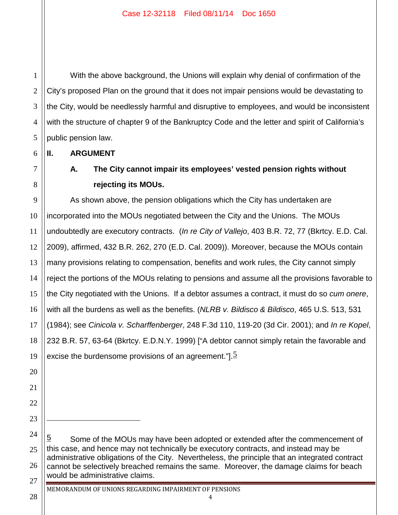With the above background, the Unions will explain why denial of confirmation of the City's proposed Plan on the ground that it does not impair pensions would be devastating to the City, would be needlessly harmful and disruptive to employees, and would be inconsistent with the structure of chapter 9 of the Bankruptcy Code and the letter and spirit of California's public pension law.

**II. ARGUMENT**

1

2

3

4

5

6

7

8

11

20

21

22

23

 $\overline{a}$ 

28

### **A. The City cannot impair its employees' vested pension rights without rejecting its MOUs.**

9 10 12 13 14 15 16 17 18 19 As shown above, the pension obligations which the City has undertaken are incorporated into the MOUs negotiated between the City and the Unions. The MOUs undoubtedly are executory contracts. (*In re City of Vallejo*, 403 B.R. 72, 77 (Bkrtcy. E.D. Cal. 2009), affirmed, 432 B.R. 262, 270 (E.D. Cal. 2009)). Moreover, because the MOUs contain many provisions relating to compensation, benefits and work rules, the City cannot simply reject the portions of the MOUs relating to pensions and assume all the provisions favorable to the City negotiated with the Unions. If a debtor assumes a contract, it must do so *cum onere*, with all the burdens as well as the benefits. (*NLRB v. Bildisco & Bildisco*, 465 U.S. 513, 531 (1984); see *Cinicola v. Scharffenberger*, 248 F.3d 110, 119-20 (3d Cir. 2001); and *In re Kopel*, 232 B.R. 57, 63-64 (Bkrtcy. E.D.N.Y. 1999) ["A debtor cannot simply retain the favorable and excise the burdensome provisions of an agreement.". $\geq$ 

24 25 26 27  $\overline{5}$  Some of the MOUs may have been adopted or extended after the commencement of this case, and hence may not technically be executory contracts, and instead may be administrative obligations of the City. Nevertheless, the principle that an integrated contract cannot be selectively breached remains the same. Moreover, the damage claims for beach would be administrative claims.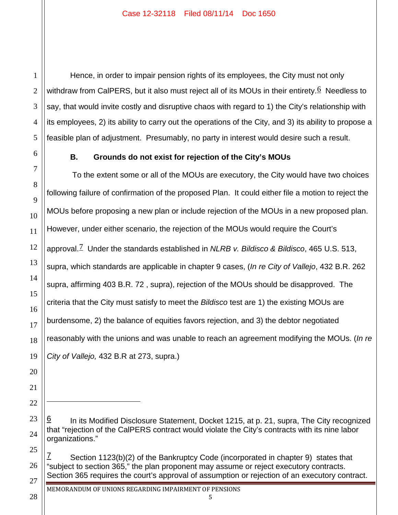Hence, in order to impair pension rights of its employees, the City must not only withdraw from CalPERS, but it also must reject all of its MOUs in their entirety.  $6$  Needless to say, that would invite costly and disruptive chaos with regard to 1) the City's relationship with its employees, 2) its ability to carry out the operations of the City, and 3) its ability to propose a feasible plan of adjustment. Presumably, no party in interest would desire such a result.

#### **B. Grounds do not exist for rejection of the City's MOUs**

1

2

3

4

5

6

7

8

9

10

11

12

13

14

15

16

17

18

19

20

21

22

 $\overline{a}$ 

23

24

25

28

To the extent some or all of the MOUs are executory, the City would have two choices following failure of confirmation of the proposed Plan. It could either file a motion to reject the MOUs before proposing a new plan or include rejection of the MOUs in a new proposed plan. However, under either scenario, the rejection of the MOUs would require the Court's approval.7 Under the standards established in *NLRB v. Bildisco & Bildisco*, 465 U.S. 513, supra, which standards are applicable in chapter 9 cases, (*In re City of Vallejo*, 432 B.R. 262 supra, affirming 403 B.R. 72 , supra), rejection of the MOUs should be disapproved. The criteria that the City must satisfy to meet the *Bildisco* test are 1) the existing MOUs are burdensome, 2) the balance of equities favors rejection, and 3) the debtor negotiated reasonably with the unions and was unable to reach an agreement modifying the MOUs. (*In re City of Vallejo,* 432 B.R at 273, supra.)

26 27 Section 1123(b)(2) of the Bankruptcy Code (incorporated in chapter 9) states that "subject to section 365," the plan proponent may assume or reject executory contracts. Section 365 requires the court's approval of assumption or rejection of an executory contract.

In its Modified Disclosure Statement, Docket 1215, at p. 21, supra, The City recognized that "rejection of the CalPERS contract would violate the City's contracts with its nine labor organizations."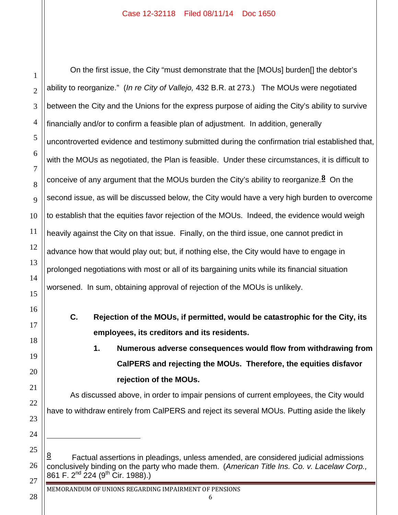$\overline{a}$ 

1

On the first issue, the City "must demonstrate that the [MOUs] burden[] the debtor's ability to reorganize." (*In re City of Vallejo,* 432 B.R. at 273.) The MOUs were negotiated between the City and the Unions for the express purpose of aiding the City's ability to survive financially and/or to confirm a feasible plan of adjustment. In addition, generally uncontroverted evidence and testimony submitted during the confirmation trial established that, with the MOUs as negotiated, the Plan is feasible. Under these circumstances, it is difficult to conceive of any argument that the MOUs burden the City's ability to reorganize.**8** On the second issue, as will be discussed below, the City would have a very high burden to overcome to establish that the equities favor rejection of the MOUs. Indeed, the evidence would weigh heavily against the City on that issue. Finally, on the third issue, one cannot predict in advance how that would play out; but, if nothing else, the City would have to engage in prolonged negotiations with most or all of its bargaining units while its financial situation worsened. In sum, obtaining approval of rejection of the MOUs is unlikely.

**C. Rejection of the MOUs, if permitted, would be catastrophic for the City, its employees, its creditors and its residents.**

# **1. Numerous adverse consequences would flow from withdrawing from CalPERS and rejecting the MOUs. Therefore, the equities disfavor rejection of the MOUs.**

As discussed above, in order to impair pensions of current employees, the City would have to withdraw entirely from CalPERS and reject its several MOUs. Putting aside the likely

Factual assertions in pleadings, unless amended, are considered judicial admissions conclusively binding on the party who made them. (*American Title Ins. Co. v. Lacelaw Corp.,* 861 F. 2<sup>nd</sup> 224 (9<sup>th</sup> Cir. 1988).)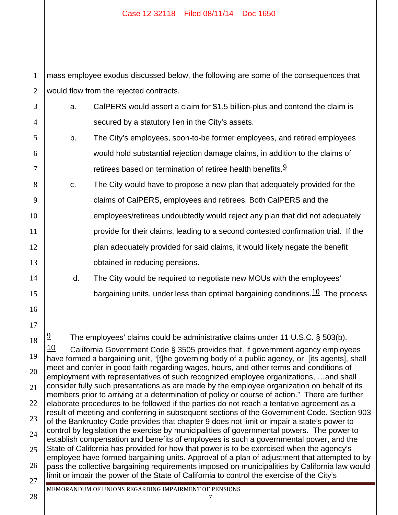1 2 mass employee exodus discussed below, the following are some of the consequences that would flow from the rejected contracts.

| $3 \parallel$ | CalPERS would assert a claim for \$1.5 billion-plus and contend the claim is |
|---------------|------------------------------------------------------------------------------|
| $4$           | secured by a statutory lien in the City's assets.                            |

- b. The City's employees, soon-to-be former employees, and retired employees would hold substantial rejection damage claims, in addition to the claims of retirees based on termination of retiree health benefits. $9$
- c. The City would have to propose a new plan that adequately provided for the claims of CalPERS, employees and retirees. Both CalPERS and the employees/retirees undoubtedly would reject any plan that did not adequately provide for their claims, leading to a second contested confirmation trial. If the plan adequately provided for said claims, it would likely negate the benefit obtained in reducing pensions.
	- d. The City would be required to negotiate new MOUs with the employees' bargaining units, under less than optimal bargaining conditions.  $10$  The process
	- $\frac{9}{2}$  The employees' claims could be administrative claims under 11 U.S.C. § 503(b).

18 19 20 21 22 23 24 25 26 27 10 California Government Code § 3505 provides that, if government agency employees have formed a bargaining unit, "[t]he governing body of a public agency, or [its agents], shall meet and confer in good faith regarding wages, hours, and other terms and conditions of employment with representatives of such recognized employee organizations, …and shall consider fully such presentations as are made by the employee organization on behalf of its members prior to arriving at a determination of policy or course of action." There are further elaborate procedures to be followed if the parties do not reach a tentative agreement as a result of meeting and conferring in subsequent sections of the Government Code. Section 903 of the Bankruptcy Code provides that chapter 9 does not limit or impair a state's power to control by legislation the exercise by municipalities of governmental powers. The power to establish compensation and benefits of employees is such a governmental power, and the State of California has provided for how that power is to be exercised when the agency's employee have formed bargaining units. Approval of a plan of adjustment that attempted to bypass the collective bargaining requirements imposed on municipalities by California law would limit or impair the power of the State of California to control the exercise of the City's MEMORANDUM OF UNIONS REGARDING IMPAIRMENT OF PENSIONS

7

28

5

6

7

8

9

10

11

12

13

14

15

16

 $\overline{a}$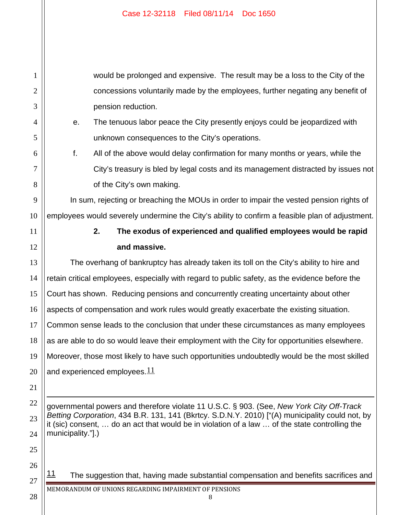1 2 3 4 5 6 7 8 9 10 11 12 13 14 15 16 17 18 19 20 21 22 23 24 25 would be prolonged and expensive. The result may be a loss to the City of the concessions voluntarily made by the employees, further negating any benefit of pension reduction. e. The tenuous labor peace the City presently enjoys could be jeopardized with unknown consequences to the City's operations. f. All of the above would delay confirmation for many months or years, while the City's treasury is bled by legal costs and its management distracted by issues not of the City's own making. In sum, rejecting or breaching the MOUs in order to impair the vested pension rights of employees would severely undermine the City's ability to confirm a feasible plan of adjustment. **2. The exodus of experienced and qualified employees would be rapid and massive.** The overhang of bankruptcy has already taken its toll on the City's ability to hire and retain critical employees, especially with regard to public safety, as the evidence before the Court has shown. Reducing pensions and concurrently creating uncertainty about other aspects of compensation and work rules would greatly exacerbate the existing situation. Common sense leads to the conclusion that under these circumstances as many employees as are able to do so would leave their employment with the City for opportunities elsewhere. Moreover, those most likely to have such opportunities undoubtedly would be the most skilled and experienced employees.  $11$ governmental powers and therefore violate 11 U.S.C. § 903. (See, *New York City Off-Track Betting Corporation*, 434 B.R. 131, 141 (Bkrtcy. S.D.N.Y. 2010) ["(A) municipality could not, by it (sic) consent, … do an act that would be in violation of a law … of the state controlling the municipality."].)  $\overline{a}$ 

 $11$  The suggestion that, having made substantial compensation and benefits sacrifices and

MEMORANDUM OF UNIONS REGARDING IMPAIRMENT OF PENSIONS

26

27

28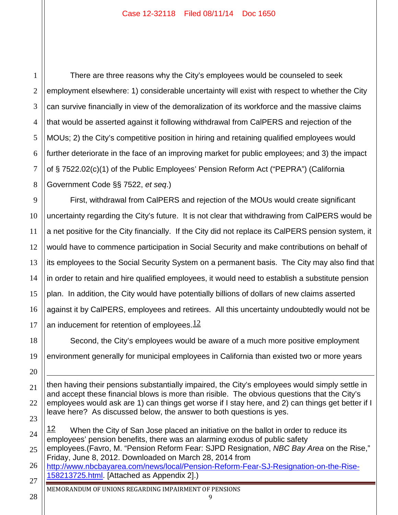1 2 3 4 5 6 7 8 There are three reasons why the City's employees would be counseled to seek employment elsewhere: 1) considerable uncertainty will exist with respect to whether the City can survive financially in view of the demoralization of its workforce and the massive claims that would be asserted against it following withdrawal from CalPERS and rejection of the MOUs; 2) the City's competitive position in hiring and retaining qualified employees would further deteriorate in the face of an improving market for public employees; and 3) the impact of § 7522.02(c)(1) of the Public Employees' Pension Reform Act ("PEPRA") (California Government Code §§ 7522, *et seq*.)

9 10 11 12 13 14 15 16 17 First, withdrawal from CalPERS and rejection of the MOUs would create significant uncertainty regarding the City's future. It is not clear that withdrawing from CalPERS would be a net positive for the City financially. If the City did not replace its CalPERS pension system, it would have to commence participation in Social Security and make contributions on behalf of its employees to the Social Security System on a permanent basis. The City may also find that in order to retain and hire qualified employees, it would need to establish a substitute pension plan. In addition, the City would have potentially billions of dollars of new claims asserted against it by CalPERS, employees and retirees. All this uncertainty undoubtedly would not be an inducement for retention of employees. $12$ 

18 19 Second, the City's employees would be aware of a much more positive employment environment generally for municipal employees in California than existed two or more years

24 25 12 When the City of San Jose placed an initiative on the ballot in order to reduce its employees' pension benefits, there was an alarming exodus of public safety employees.(Favro, M. "Pension Reform Fear: SJPD Resignation, *NBC Bay Area* on the Rise," Friday, June 8, 2012. Downloaded on March 28, 2014 from

9

28

20

 $\overline{a}$ 

<sup>21</sup> 22 23 then having their pensions substantially impaired, the City's employees would simply settle in and accept these financial blows is more than risible. The obvious questions that the City's employees would ask are 1) can things get worse if I stay here, and 2) can things get better if I leave here? As discussed below, the answer to both questions is yes.

<sup>26</sup> 27 http://www.nbcbayarea.com/news/local/Pension-Reform-Fear-SJ-Resignation-on-the-Rise-158213725.html. [Attached as Appendix 2].)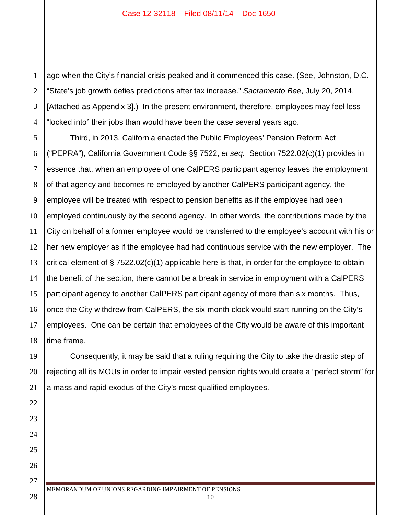1 2 3 4 ago when the City's financial crisis peaked and it commenced this case. (See, Johnston, D.C. "State's job growth defies predictions after tax increase." *Sacramento Bee*, July 20, 2014. [Attached as Appendix 3].) In the present environment, therefore, employees may feel less "locked into" their jobs than would have been the case several years ago.

5 6 7 8 9 10 12 13 14 15 16 17 18 Third, in 2013, California enacted the Public Employees' Pension Reform Act ("PEPRA"), California Government Code §§ 7522, *et seq.* Section 7522.02(c)(1) provides in essence that, when an employee of one CalPERS participant agency leaves the employment of that agency and becomes re-employed by another CalPERS participant agency, the employee will be treated with respect to pension benefits as if the employee had been employed continuously by the second agency. In other words, the contributions made by the City on behalf of a former employee would be transferred to the employee's account with his or her new employer as if the employee had had continuous service with the new employer. The critical element of § 7522.02(c)(1) applicable here is that, in order for the employee to obtain the benefit of the section, there cannot be a break in service in employment with a CalPERS participant agency to another CalPERS participant agency of more than six months. Thus, once the City withdrew from CalPERS, the six-month clock would start running on the City's employees. One can be certain that employees of the City would be aware of this important time frame.

Consequently, it may be said that a ruling requiring the City to take the drastic step of rejecting all its MOUs in order to impair vested pension rights would create a "perfect storm" for a mass and rapid exodus of the City's most qualified employees.

11

19

20

21

22

23

24

25

26

27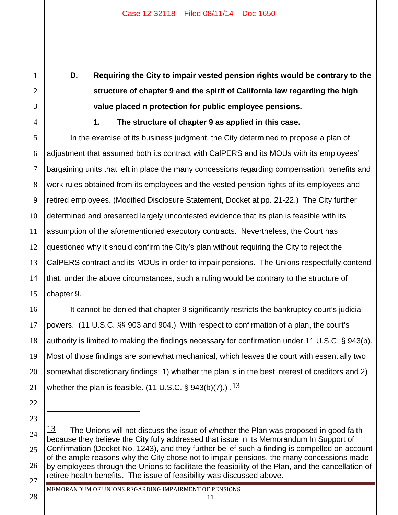**D. Requiring the City to impair vested pension rights would be contrary to the structure of chapter 9 and the spirit of California law regarding the high value placed n protection for public employee pensions.**

**1. The structure of chapter 9 as applied in this case.**

1

2

3

4

5

6

7

8

9

10

11

13

14

17

18

19

20

21

22

23

 $\overline{a}$ 

28

12 15 In the exercise of its business judgment, the City determined to propose a plan of adjustment that assumed both its contract with CalPERS and its MOUs with its employees' bargaining units that left in place the many concessions regarding compensation, benefits and work rules obtained from its employees and the vested pension rights of its employees and retired employees. (Modified Disclosure Statement, Docket at pp. 21-22.) The City further determined and presented largely uncontested evidence that its plan is feasible with its assumption of the aforementioned executory contracts. Nevertheless, the Court has questioned why it should confirm the City's plan without requiring the City to reject the CalPERS contract and its MOUs in order to impair pensions. The Unions respectfully contend that, under the above circumstances, such a ruling would be contrary to the structure of chapter 9.

16 It cannot be denied that chapter 9 significantly restricts the bankruptcy court's judicial powers. (11 U.S.C. §§ 903 and 904.) With respect to confirmation of a plan, the court's authority is limited to making the findings necessary for confirmation under 11 U.S.C. § 943(b). Most of those findings are somewhat mechanical, which leaves the court with essentially two somewhat discretionary findings; 1) whether the plan is in the best interest of creditors and 2) whether the plan is feasible. (11 U.S.C. § 943(b)(7).)  $\frac{13}{1}$ 

24 25 26 27  $13$  The Unions will not discuss the issue of whether the Plan was proposed in good faith because they believe the City fully addressed that issue in its Memorandum In Support of Confirmation (Docket No. 1243), and they further belief such a finding is compelled on account of the ample reasons why the City chose not to impair pensions, the many concessions made by employees through the Unions to facilitate the feasibility of the Plan, and the cancellation of retiree health benefits. The issue of feasibility was discussed above.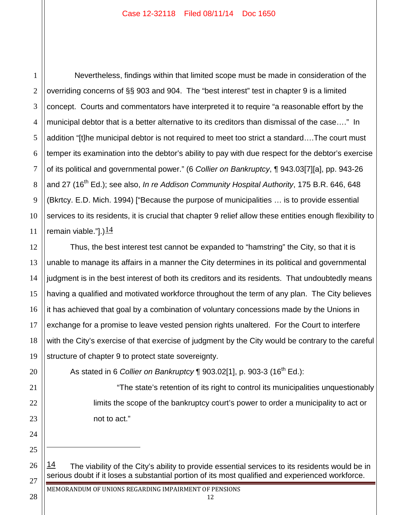1 2 3 4 5 6 7 8 9 10 11 Nevertheless, findings within that limited scope must be made in consideration of the overriding concerns of §§ 903 and 904. The "best interest" test in chapter 9 is a limited concept. Courts and commentators have interpreted it to require "a reasonable effort by the municipal debtor that is a better alternative to its creditors than dismissal of the case…." In addition "[t]he municipal debtor is not required to meet too strict a standard….The court must temper its examination into the debtor's ability to pay with due respect for the debtor's exercise of its political and governmental power." (6 *Collier on Bankruptcy*, ¶ 943.03[7][a], pp. 943-26 and 27 (16<sup>th</sup> Ed.); see also, *In re Addison Community Hospital Authority*, 175 B.R. 646, 648 (Bkrtcy. E.D. Mich. 1994) ["Because the purpose of municipalities … is to provide essential services to its residents, it is crucial that chapter 9 relief allow these entities enough flexibility to remain viable."].) $\frac{14}{1}$ 

12 13 14 15 16 17 18 19 Thus, the best interest test cannot be expanded to "hamstring" the City, so that it is unable to manage its affairs in a manner the City determines in its political and governmental judgment is in the best interest of both its creditors and its residents. That undoubtedly means having a qualified and motivated workforce throughout the term of any plan. The City believes it has achieved that goal by a combination of voluntary concessions made by the Unions in exchange for a promise to leave vested pension rights unaltered. For the Court to interfere with the City's exercise of that exercise of judgment by the City would be contrary to the careful structure of chapter 9 to protect state sovereignty.

As stated in 6 *Collier on Bankruptcy* ¶ 903.02[1], p. 903-3 (16th Ed.):

"The state's retention of its right to control its municipalities unquestionably limits the scope of the bankruptcy court's power to order a municipality to act or not to act."

 $14$  The viability of the City's ability to provide essential services to its residents would be in serious doubt if it loses a substantial portion of its most qualified and experienced workforce.

20

21

22

23

24

25

 $\overline{a}$ 

26

27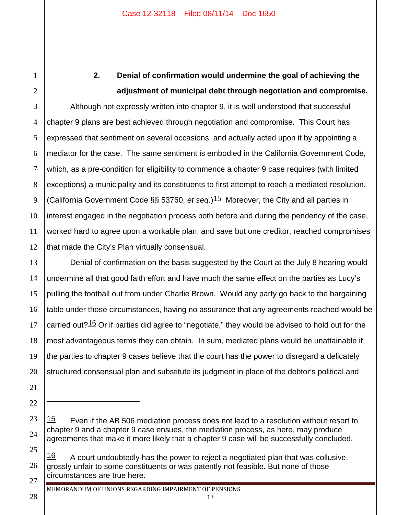1

2

13

14

15

16

17

18

19

20

21

22

 $\overline{a}$ 

23

24

25

28

# **2. Denial of confirmation would undermine the goal of achieving the adjustment of municipal debt through negotiation and compromise.**

3 4 5 6 7 8 9 10 11 12 Although not expressly written into chapter 9, it is well understood that successful chapter 9 plans are best achieved through negotiation and compromise. This Court has expressed that sentiment on several occasions, and actually acted upon it by appointing a mediator for the case. The same sentiment is embodied in the California Government Code, which, as a pre-condition for eligibility to commence a chapter 9 case requires (with limited exceptions) a municipality and its constituents to first attempt to reach a mediated resolution. (California Government Code §§ 53760, *et seq.*)<sup>15</sup> Moreover, the City and all parties in interest engaged in the negotiation process both before and during the pendency of the case, worked hard to agree upon a workable plan, and save but one creditor, reached compromises that made the City's Plan virtually consensual.

Denial of confirmation on the basis suggested by the Court at the July 8 hearing would undermine all that good faith effort and have much the same effect on the parties as Lucy's pulling the football out from under Charlie Brown. Would any party go back to the bargaining table under those circumstances, having no assurance that any agreements reached would be carried out? $16$  Or if parties did agree to "negotiate," they would be advised to hold out for the most advantageous terms they can obtain. In sum, mediated plans would be unattainable if the parties to chapter 9 cases believe that the court has the power to disregard a delicately structured consensual plan and substitute its judgment in place of the debtor's political and

 $15$  Even if the AB 506 mediation process does not lead to a resolution without resort to chapter 9 and a chapter 9 case ensues, the mediation process, as here, may produce agreements that make it more likely that a chapter 9 case will be successfully concluded.

<sup>26</sup> 27  $16$  A court undoubtedly has the power to reject a negotiated plan that was collusive, grossly unfair to some constituents or was patently not feasible. But none of those circumstances are true here.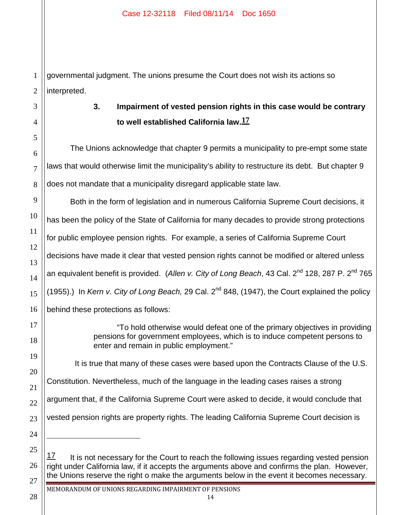1 governmental judgment. The unions presume the Court does not wish its actions so interpreted.

28

 $\overline{a}$ 

**3. Impairment of vested pension rights in this case would be contrary to well established California law.17**

The Unions acknowledge that chapter 9 permits a municipality to pre-empt some state laws that would otherwise limit the municipality's ability to restructure its debt. But chapter 9 does not mandate that a municipality disregard applicable state law.

Both in the form of legislation and in numerous California Supreme Court decisions, it has been the policy of the State of California for many decades to provide strong protections for public employee pension rights. For example, a series of California Supreme Court decisions have made it clear that vested pension rights cannot be modified or altered unless an equivalent benefit is provided. (Allen v. City of Long Beach, 43 Cal. 2<sup>nd</sup> 128, 287 P. 2<sup>nd</sup> 765 (1955).) In *Kern v. City of Long Beach,* 29 Cal. 2nd 848, (1947), the Court explained the policy behind these protections as follows:

> "To hold otherwise would defeat one of the primary objectives in providing pensions for government employees, which is to induce competent persons to enter and remain in public employment."

It is true that many of these cases were based upon the Contracts Clause of the U.S.

Constitution. Nevertheless, much of the language in the leading cases raises a strong

argument that, if the California Supreme Court were asked to decide, it would conclude that

vested pension rights are property rights. The leading California Supreme Court decision is

 $17$  It is not necessary for the Court to reach the following issues regarding vested pension right under California law, if it accepts the arguments above and confirms the plan. However, the Unions reserve the right o make the arguments below in the event it becomes necessary.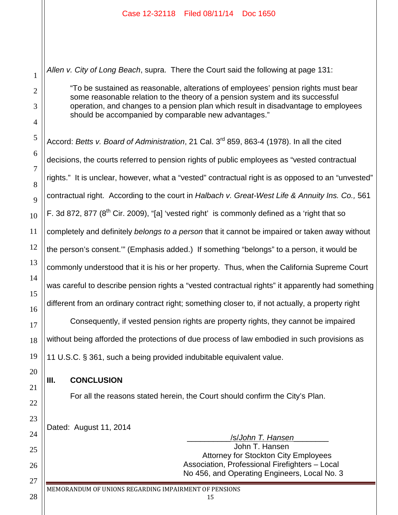*Allen v. City of Long Beach*, supra. There the Court said the following at page 131:

"To be sustained as reasonable, alterations of employees' pension rights must bear some reasonable relation to the theory of a pension system and its successful operation, and changes to a pension plan which result in disadvantage to employees should be accompanied by comparable new advantages."

Accord: *Betts v. Board of Administration*, 21 Cal. 3rd 859, 863-4 (1978). In all the cited decisions, the courts referred to pension rights of public employees as "vested contractual rights." It is unclear, however, what a "vested" contractual right is as opposed to an "unvested" contractual right. According to the court in *Halbach v. Great-West Life & Annuity Ins. Co.,* 561 F. 3d 872, 877 ( $8<sup>th</sup>$  Cir. 2009), "[a] 'vested right' is commonly defined as a 'right that so completely and definitely *belongs to a person* that it cannot be impaired or taken away without the person's consent.'" (Emphasis added.) If something "belongs" to a person, it would be commonly understood that it is his or her property. Thus, when the California Supreme Court was careful to describe pension rights a "vested contractual rights" it apparently had something different from an ordinary contract right; something closer to, if not actually, a property right

Consequently, if vested pension rights are property rights, they cannot be impaired without being afforded the protections of due process of law embodied in such provisions as 11 U.S.C. § 361, such a being provided indubitable equivalent value.

#### **III. CONCLUSION**

1

2

3

4

5

6

7

8

9

10

11

12

13

14

15

16

17

18

19

20

21

22

23

24

25

26

27

28

For all the reasons stated herein, the Court should confirm the City's Plan.

Dated: August 11, 2014

\_\_\_\_\_\_\_\_\_\_/s/*John T. Hansen*\_\_\_\_\_\_\_\_ John T. Hansen Attorney for Stockton City Employees Association, Professional Firefighters – Local No 456, and Operating Engineers, Local No. 3